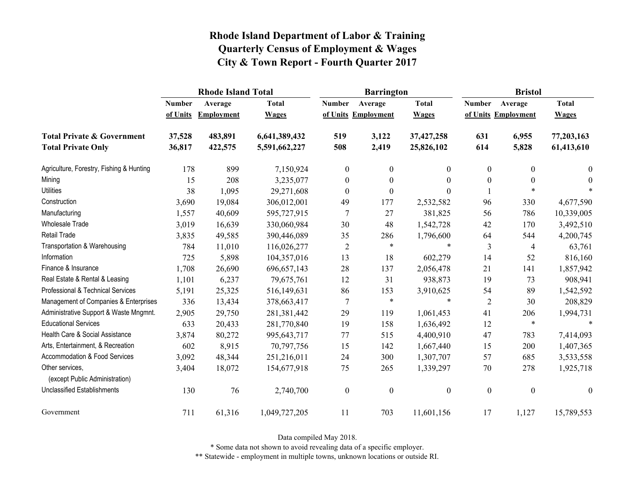|                                                   | <b>Rhode Island Total</b> |                   |               |                  | <b>Barrington</b>   |                  | <b>Bristol</b>   |                     |                  |
|---------------------------------------------------|---------------------------|-------------------|---------------|------------------|---------------------|------------------|------------------|---------------------|------------------|
|                                                   | <b>Number</b>             | Average           | <b>Total</b>  | <b>Number</b>    | Average             | <b>Total</b>     | <b>Number</b>    | Average             | <b>Total</b>     |
|                                                   | of Units                  | <b>Employment</b> | <b>Wages</b>  |                  | of Units Employment | <b>Wages</b>     |                  | of Units Employment | <b>Wages</b>     |
| <b>Total Private &amp; Government</b>             | 37,528                    | 483,891           | 6,641,389,432 | 519              | 3,122               | 37,427,258       | 631              | 6,955               | 77,203,163       |
| <b>Total Private Only</b>                         | 36,817                    | 422,575           | 5,591,662,227 | 508              | 2,419               | 25,826,102       | 614              | 5,828               | 61,413,610       |
| Agriculture, Forestry, Fishing & Hunting          | 178                       | 899               | 7,150,924     | $\boldsymbol{0}$ | $\mathbf{0}$        | $\mathbf{0}$     | $\boldsymbol{0}$ | $\boldsymbol{0}$    | 0                |
| Mining                                            | 15                        | 208               | 3,235,077     | $\boldsymbol{0}$ | $\boldsymbol{0}$    | $\theta$         | $\boldsymbol{0}$ | $\boldsymbol{0}$    | $\theta$         |
| <b>Utilities</b>                                  | 38                        | 1,095             | 29,271,608    | $\mathbf{0}$     | $\theta$            | $\Omega$         |                  | $\ast$              |                  |
| Construction                                      | 3,690                     | 19,084            | 306,012,001   | 49               | 177                 | 2,532,582        | 96               | 330                 | 4,677,590        |
| Manufacturing                                     | 1,557                     | 40,609            | 595,727,915   | 7                | 27                  | 381,825          | 56               | 786                 | 10,339,005       |
| Wholesale Trade                                   | 3,019                     | 16,639            | 330,060,984   | 30               | 48                  | 1,542,728        | 42               | 170                 | 3,492,510        |
| <b>Retail Trade</b>                               | 3,835                     | 49,585            | 390,446,089   | 35               | 286                 | 1,796,600        | 64               | 544                 | 4,200,745        |
| Transportation & Warehousing                      | 784                       | 11,010            | 116,026,277   | $\sqrt{2}$       | $\ast$              | $\ast$           | $\mathfrak{Z}$   | 4                   | 63,761           |
| Information                                       | 725                       | 5,898             | 104,357,016   | 13               | 18                  | 602,279          | 14               | 52                  | 816,160          |
| Finance & Insurance                               | 1,708                     | 26,690            | 696, 657, 143 | 28               | 137                 | 2,056,478        | 21               | 141                 | 1,857,942        |
| Real Estate & Rental & Leasing                    | 1,101                     | 6,237             | 79,675,761    | 12               | 31                  | 938,873          | 19               | 73                  | 908,941          |
| Professional & Technical Services                 | 5,191                     | 25,325            | 516,149,631   | 86               | 153                 | 3,910,625        | 54               | 89                  | 1,542,592        |
| Management of Companies & Enterprises             | 336                       | 13,434            | 378,663,417   | 7                | $\ast$              | $\ast$           | $\overline{2}$   | 30                  | 208,829          |
| Administrative Support & Waste Mngmnt.            | 2,905                     | 29,750            | 281,381,442   | 29               | 119                 | 1,061,453        | 41               | 206                 | 1,994,731        |
| <b>Educational Services</b>                       | 633                       | 20,433            | 281,770,840   | 19               | 158                 | 1,636,492        | 12               | $\ast$              | $\ast$           |
| Health Care & Social Assistance                   | 3,874                     | 80,272            | 995, 643, 717 | 77               | 515                 | 4,400,910        | 47               | 783                 | 7,414,093        |
| Arts, Entertainment, & Recreation                 | 602                       | 8,915             | 70,797,756    | 15               | 142                 | 1,667,440        | 15               | 200                 | 1,407,365        |
| Accommodation & Food Services                     | 3,092                     | 48,344            | 251,216,011   | 24               | 300                 | 1,307,707        | 57               | 685                 | 3,533,558        |
| Other services,<br>(except Public Administration) | 3,404                     | 18,072            | 154,677,918   | 75               | 265                 | 1,339,297        | $70\,$           | 278                 | 1,925,718        |
| <b>Unclassified Establishments</b>                | 130                       | 76                | 2,740,700     | $\boldsymbol{0}$ | $\boldsymbol{0}$    | $\boldsymbol{0}$ | $\boldsymbol{0}$ | $\boldsymbol{0}$    | $\boldsymbol{0}$ |
| Government                                        | 711                       | 61,316            | 1,049,727,205 | 11               | 703                 | 11,601,156       | 17               | 1,127               | 15,789,553       |

Data compiled May 2018.

\* Some data not shown to avoid revealing data of a specific employer.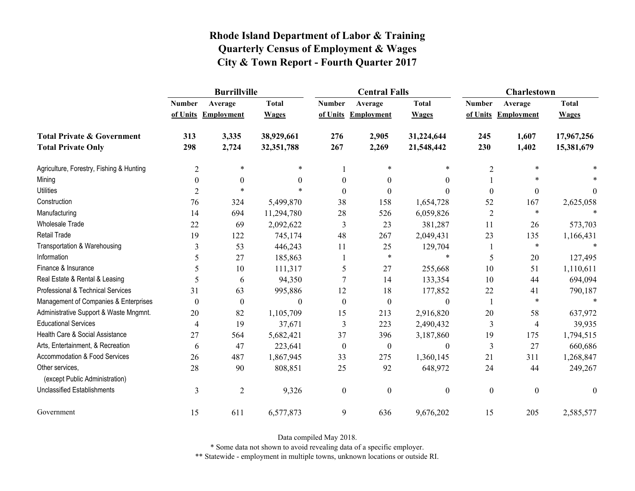|                                                   | <b>Burrillville</b> |                     |              |                  | <b>Central Falls</b> |                  | <b>Charlestown</b> |                     |              |
|---------------------------------------------------|---------------------|---------------------|--------------|------------------|----------------------|------------------|--------------------|---------------------|--------------|
|                                                   | <b>Number</b>       | Average             | <b>Total</b> | <b>Number</b>    | Average              | <b>Total</b>     | <b>Number</b>      | Average             | <b>Total</b> |
|                                                   |                     | of Units Employment | <b>Wages</b> |                  | of Units Employment  | <b>Wages</b>     |                    | of Units Employment | <b>Wages</b> |
| <b>Total Private &amp; Government</b>             | 313                 | 3,335               | 38,929,661   | 276              | 2,905                | 31,224,644       | 245                | 1,607               | 17,967,256   |
| <b>Total Private Only</b>                         | 298                 | 2,724               | 32,351,788   | 267              | 2,269                | 21,548,442       | 230                | 1,402               | 15,381,679   |
| Agriculture, Forestry, Fishing & Hunting          | $\overline{2}$      | $\ast$              | *            |                  | $\ast$               | *                | $\overline{2}$     | $\ast$              |              |
| Mining                                            | $\theta$            | $\theta$            | $\theta$     | $\theta$         | $\theta$             | $\mathbf{0}$     |                    | $\ast$              |              |
| <b>Utilities</b>                                  | $\overline{2}$      | $\ast$              | $\ast$       | $\theta$         | $\theta$             | $\boldsymbol{0}$ | $\boldsymbol{0}$   | $\boldsymbol{0}$    | $\mathbf{0}$ |
| Construction                                      | 76                  | 324                 | 5,499,870    | 38               | 158                  | 1,654,728        | 52                 | 167                 | 2,625,058    |
| Manufacturing                                     | 14                  | 694                 | 11,294,780   | 28               | 526                  | 6,059,826        | $\overline{2}$     | $\ast$              |              |
| <b>Wholesale Trade</b>                            | 22                  | 69                  | 2,092,622    | 3                | 23                   | 381,287          | 11                 | 26                  | 573,703      |
| <b>Retail Trade</b>                               | 19                  | 122                 | 745,174      | 48               | 267                  | 2,049,431        | 23                 | 135                 | 1,166,431    |
| Transportation & Warehousing                      | 3                   | 53                  | 446,243      | 11               | 25                   | 129,704          | 1                  | $\ast$              |              |
| Information                                       | 5                   | 27                  | 185,863      |                  | $\ast$               | $\ast$           | 5                  | $20\,$              | 127,495      |
| Finance & Insurance                               | 5                   | 10                  | 111,317      | 5                | 27                   | 255,668          | 10                 | 51                  | 1,110,611    |
| Real Estate & Rental & Leasing                    | 5                   | 6                   | 94,350       |                  | 14                   | 133,354          | 10                 | 44                  | 694,094      |
| Professional & Technical Services                 | 31                  | 63                  | 995,886      | 12               | 18                   | 177,852          | 22                 | 41                  | 790,187      |
| Management of Companies & Enterprises             | $\theta$            | $\boldsymbol{0}$    | $\Omega$     | $\theta$         | $\boldsymbol{0}$     | $\theta$         | $\mathbf{1}$       | $\ast$              | $\ast$       |
| Administrative Support & Waste Mngmnt.            | 20                  | 82                  | 1,105,709    | 15               | 213                  | 2,916,820        | 20                 | 58                  | 637,972      |
| <b>Educational Services</b>                       | 4                   | 19                  | 37,671       | 3                | 223                  | 2,490,432        | 3                  | 4                   | 39,935       |
| Health Care & Social Assistance                   | 27                  | 564                 | 5,682,421    | 37               | 396                  | 3,187,860        | 19                 | 175                 | 1,794,515    |
| Arts, Entertainment, & Recreation                 | 6                   | 47                  | 223,641      | $\boldsymbol{0}$ | $\boldsymbol{0}$     | $\boldsymbol{0}$ | $\mathfrak{Z}$     | 27                  | 660,686      |
| Accommodation & Food Services                     | 26                  | 487                 | 1,867,945    | 33               | 275                  | 1,360,145        | 21                 | 311                 | 1,268,847    |
| Other services,<br>(except Public Administration) | 28                  | 90                  | 808,851      | 25               | 92                   | 648,972          | 24                 | 44                  | 249,267      |
| <b>Unclassified Establishments</b>                | 3                   | $\sqrt{2}$          | 9,326        | $\boldsymbol{0}$ | $\mathbf{0}$         | $\boldsymbol{0}$ | $\boldsymbol{0}$   | $\boldsymbol{0}$    | $\mathbf{0}$ |
| Government                                        | 15                  | 611                 | 6,577,873    | 9                | 636                  | 9,676,202        | 15                 | 205                 | 2,585,577    |

Data compiled May 2018.

\* Some data not shown to avoid revealing data of a specific employer.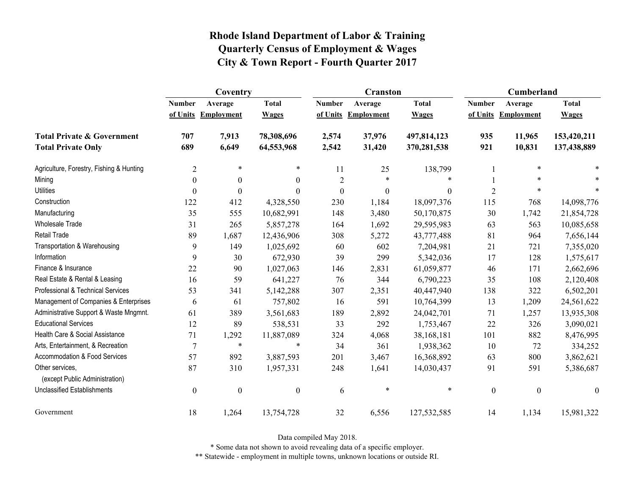|                                                   | Coventry         |                     |                  |                  | <b>Cranston</b>     |              | <b>Cumberland</b> |                     |                  |
|---------------------------------------------------|------------------|---------------------|------------------|------------------|---------------------|--------------|-------------------|---------------------|------------------|
|                                                   | <b>Number</b>    | Average             | <b>Total</b>     | <b>Number</b>    | Average             | <b>Total</b> | <b>Number</b>     | Average             | <b>Total</b>     |
|                                                   |                  | of Units Employment | <b>Wages</b>     |                  | of Units Employment | <b>Wages</b> |                   | of Units Employment | <b>Wages</b>     |
| <b>Total Private &amp; Government</b>             | 707              | 7,913               | 78,308,696       | 2,574            | 37,976              | 497,814,123  | 935               | 11,965              | 153,420,211      |
| <b>Total Private Only</b>                         | 689              | 6,649               | 64,553,968       | 2,542            | 31,420              | 370,281,538  | 921               | 10,831              | 137,438,889      |
| Agriculture, Forestry, Fishing & Hunting          | $\overline{c}$   | $\ast$              | $\ast$           | 11               | 25                  | 138,799      |                   | $\ast$              |                  |
| Mining                                            | $\theta$         | $\theta$            | $\theta$         | $\overline{2}$   | $\ast$              | *            |                   | $\ast$              |                  |
| <b>Utilities</b>                                  | $\boldsymbol{0}$ | $\theta$            | $\theta$         | $\boldsymbol{0}$ | $\boldsymbol{0}$    | $\theta$     | $\overline{2}$    | $\ast$              |                  |
| Construction                                      | 122              | 412                 | 4,328,550        | 230              | 1,184               | 18,097,376   | 115               | 768                 | 14,098,776       |
| Manufacturing                                     | 35               | 555                 | 10,682,991       | 148              | 3,480               | 50,170,875   | 30                | 1,742               | 21,854,728       |
| Wholesale Trade                                   | 31               | 265                 | 5,857,278        | 164              | 1,692               | 29,595,983   | 63                | 563                 | 10,085,658       |
| <b>Retail Trade</b>                               | 89               | 1,687               | 12,436,906       | 308              | 5,272               | 43,777,488   | 81                | 964                 | 7,656,144        |
| Transportation & Warehousing                      | 9                | 149                 | 1,025,692        | 60               | 602                 | 7,204,981    | 21                | 721                 | 7,355,020        |
| Information                                       | 9                | 30                  | 672,930          | 39               | 299                 | 5,342,036    | 17                | 128                 | 1,575,617        |
| Finance & Insurance                               | 22               | 90                  | 1,027,063        | 146              | 2,831               | 61,059,877   | 46                | 171                 | 2,662,696        |
| Real Estate & Rental & Leasing                    | 16               | 59                  | 641,227          | 76               | 344                 | 6,790,223    | 35                | 108                 | 2,120,408        |
| Professional & Technical Services                 | 53               | 341                 | 5,142,288        | 307              | 2,351               | 40,447,940   | 138               | 322                 | 6,502,201        |
| Management of Companies & Enterprises             | 6                | 61                  | 757,802          | 16               | 591                 | 10,764,399   | 13                | 1,209               | 24,561,622       |
| Administrative Support & Waste Mngmnt.            | 61               | 389                 | 3,561,683        | 189              | 2,892               | 24,042,701   | 71                | 1,257               | 13,935,308       |
| <b>Educational Services</b>                       | 12               | 89                  | 538,531          | 33               | 292                 | 1,753,467    | 22                | 326                 | 3,090,021        |
| Health Care & Social Assistance                   | 71               | 1,292               | 11,887,089       | 324              | 4,068               | 38,168,181   | 101               | 882                 | 8,476,995        |
| Arts, Entertainment, & Recreation                 | 7                | $\ast$              | $\ast$           | 34               | 361                 | 1,938,362    | 10                | 72                  | 334,252          |
| <b>Accommodation &amp; Food Services</b>          | 57               | 892                 | 3,887,593        | 201              | 3,467               | 16,368,892   | 63                | 800                 | 3,862,621        |
| Other services,<br>(except Public Administration) | 87               | 310                 | 1,957,331        | 248              | 1,641               | 14,030,437   | 91                | 591                 | 5,386,687        |
| <b>Unclassified Establishments</b>                | $\boldsymbol{0}$ | $\boldsymbol{0}$    | $\boldsymbol{0}$ | 6                | $\ast$              | $\ast$       | $\boldsymbol{0}$  | $\boldsymbol{0}$    | $\boldsymbol{0}$ |
| Government                                        | 18               | 1,264               | 13,754,728       | 32               | 6,556               | 127,532,585  | 14                | 1,134               | 15,981,322       |

Data compiled May 2018.

\* Some data not shown to avoid revealing data of a specific employer.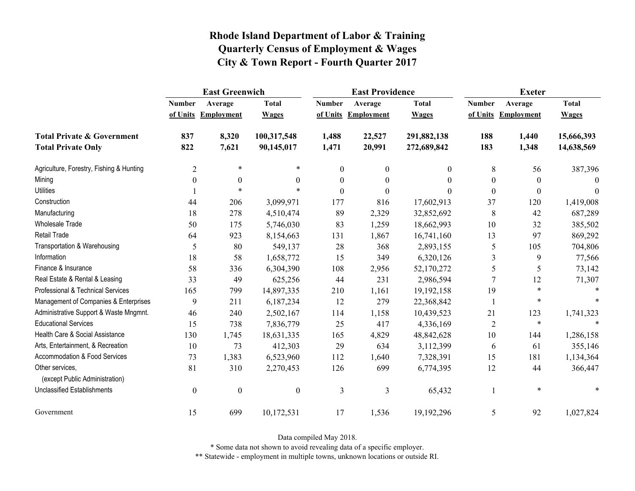|                                                   | <b>East Greenwich</b> |                     |                  |                  | <b>East Providence</b> |              | <b>Exeter</b>    |                     |              |
|---------------------------------------------------|-----------------------|---------------------|------------------|------------------|------------------------|--------------|------------------|---------------------|--------------|
|                                                   | <b>Number</b>         | Average             | <b>Total</b>     | <b>Number</b>    | Average                | <b>Total</b> | <b>Number</b>    | Average             | <b>Total</b> |
|                                                   |                       | of Units Employment | <b>Wages</b>     |                  | of Units Employment    | <b>Wages</b> |                  | of Units Employment | <b>Wages</b> |
| <b>Total Private &amp; Government</b>             | 837                   | 8,320               | 100,317,548      | 1,488            | 22,527                 | 291,882,138  | 188              | 1,440               | 15,666,393   |
| <b>Total Private Only</b>                         | 822                   | 7,621               | 90,145,017       | 1,471            | 20,991                 | 272,689,842  | 183              | 1,348               | 14,638,569   |
| Agriculture, Forestry, Fishing & Hunting          | $\overline{2}$        | $\ast$              | $\ast$           | $\boldsymbol{0}$ | $\boldsymbol{0}$       | 0            | 8                | 56                  | 387,396      |
| Mining                                            | $\theta$              | $\boldsymbol{0}$    | $\theta$         | $\boldsymbol{0}$ | $\boldsymbol{0}$       | $\theta$     | $\boldsymbol{0}$ | $\theta$            | $\Omega$     |
| <b>Utilities</b>                                  |                       | $\ast$              |                  | $\theta$         | $\boldsymbol{0}$       | 0            | $\boldsymbol{0}$ | $\theta$            | $\theta$     |
| Construction                                      | 44                    | 206                 | 3,099,971        | 177              | 816                    | 17,602,913   | 37               | 120                 | 1,419,008    |
| Manufacturing                                     | 18                    | 278                 | 4,510,474        | 89               | 2,329                  | 32,852,692   | 8                | 42                  | 687,289      |
| <b>Wholesale Trade</b>                            | 50                    | 175                 | 5,746,030        | 83               | 1,259                  | 18,662,993   | 10               | 32                  | 385,502      |
| <b>Retail Trade</b>                               | 64                    | 923                 | 8,154,663        | 131              | 1,867                  | 16,741,160   | 13               | 97                  | 869,292      |
| Transportation & Warehousing                      | 5                     | 80                  | 549,137          | 28               | 368                    | 2,893,155    | 5                | 105                 | 704,806      |
| Information                                       | 18                    | 58                  | 1,658,772        | 15               | 349                    | 6,320,126    | 3                | 9                   | 77,566       |
| Finance & Insurance                               | 58                    | 336                 | 6,304,390        | 108              | 2,956                  | 52,170,272   | 5                | 5                   | 73,142       |
| Real Estate & Rental & Leasing                    | 33                    | 49                  | 625,256          | 44               | 231                    | 2,986,594    |                  | 12                  | 71,307       |
| Professional & Technical Services                 | 165                   | 799                 | 14,897,335       | 210              | 1,161                  | 19,192,158   | 19               | $\ast$              |              |
| Management of Companies & Enterprises             | 9                     | 211                 | 6,187,234        | 12               | 279                    | 22,368,842   |                  | $\ast$              |              |
| Administrative Support & Waste Mngmnt.            | 46                    | 240                 | 2,502,167        | 114              | 1,158                  | 10,439,523   | 21               | 123                 | 1,741,323    |
| <b>Educational Services</b>                       | 15                    | 738                 | 7,836,779        | 25               | 417                    | 4,336,169    | $\overline{2}$   | $\ast$              |              |
| Health Care & Social Assistance                   | 130                   | 1,745               | 18,631,335       | 165              | 4,829                  | 48,842,628   | 10               | 144                 | 1,286,158    |
| Arts, Entertainment, & Recreation                 | 10                    | 73                  | 412,303          | 29               | 634                    | 3,112,399    | 6                | 61                  | 355,146      |
| <b>Accommodation &amp; Food Services</b>          | 73                    | 1,383               | 6,523,960        | 112              | 1,640                  | 7,328,391    | 15               | 181                 | 1,134,364    |
| Other services,<br>(except Public Administration) | 81                    | 310                 | 2,270,453        | 126              | 699                    | 6,774,395    | 12               | 44                  | 366,447      |
| <b>Unclassified Establishments</b>                | $\boldsymbol{0}$      | $\boldsymbol{0}$    | $\boldsymbol{0}$ | $\mathfrak{Z}$   | $\mathfrak{Z}$         | 65,432       |                  | $\ast$              |              |
| Government                                        | 15                    | 699                 | 10,172,531       | 17               | 1,536                  | 19,192,296   | 5                | 92                  | 1,027,824    |

Data compiled May 2018.

\* Some data not shown to avoid revealing data of a specific employer.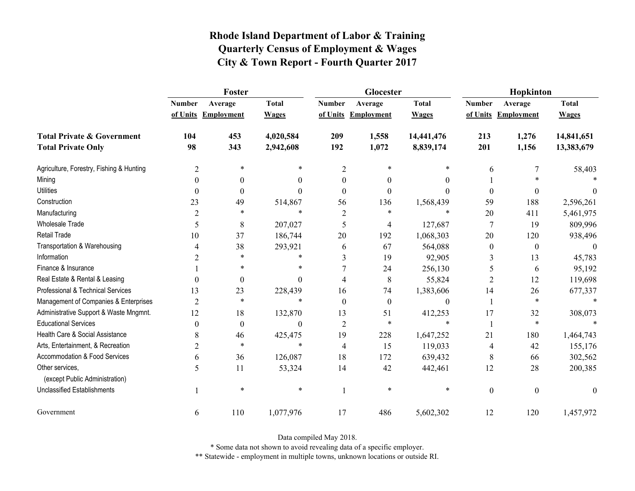|                                                   | Foster         |                     |              |                | Glocester           |              | Hopkinton        |                     |              |
|---------------------------------------------------|----------------|---------------------|--------------|----------------|---------------------|--------------|------------------|---------------------|--------------|
|                                                   | <b>Number</b>  | Average             | <b>Total</b> | <b>Number</b>  | Average             | <b>Total</b> | <b>Number</b>    | Average             | <b>Total</b> |
|                                                   |                | of Units Employment | <b>Wages</b> |                | of Units Employment | <b>Wages</b> |                  | of Units Employment | <b>Wages</b> |
| <b>Total Private &amp; Government</b>             | 104            | 453                 | 4,020,584    | 209            | 1,558               | 14,441,476   | 213              | 1,276               | 14,841,651   |
| <b>Total Private Only</b>                         | 98             | 343                 | 2,942,608    | 192            | 1,072               | 8,839,174    | 201              | 1,156               | 13,383,679   |
| Agriculture, Forestry, Fishing & Hunting          | $\overline{2}$ | *                   | *            | $\overline{2}$ | 米                   | *            | 6                | 7                   | 58,403       |
| Mining                                            | $\theta$       | $\theta$            | 0            | $\theta$       | $\theta$            | $\theta$     |                  |                     |              |
| <b>Utilities</b>                                  | $\theta$       | $\boldsymbol{0}$    | $\Omega$     | $\Omega$       | $\theta$            | $\theta$     | $\boldsymbol{0}$ | 0                   | $\theta$     |
| Construction                                      | 23             | 49                  | 514,867      | 56             | 136                 | 1,568,439    | 59               | 188                 | 2,596,261    |
| Manufacturing                                     | $\overline{2}$ | *                   | $\ast$       | 2              | $\ast$              | $\ast$       | $20\,$           | 411                 | 5,461,975    |
| <b>Wholesale Trade</b>                            | 5              | 8                   | 207,027      | 5              | 4                   | 127,687      | $\tau$           | 19                  | 809,996      |
| Retail Trade                                      | 10             | 37                  | 186,744      | 20             | 192                 | 1,068,303    | 20               | 120                 | 938,496      |
| Transportation & Warehousing                      | 4              | 38                  | 293,921      | 6              | 67                  | 564,088      | $\boldsymbol{0}$ | $\boldsymbol{0}$    | $\theta$     |
| Information                                       | 2              | $\ast$              | *            | 3              | 19                  | 92,905       | 3                | 13                  | 45,783       |
| Finance & Insurance                               |                | $\ast$              | $\ast$       |                | 24                  | 256,130      | 5                | 6                   | 95,192       |
| Real Estate & Rental & Leasing                    | $\theta$       | $\boldsymbol{0}$    | $\Omega$     | 4              | 8                   | 55,824       | 2                | 12                  | 119,698      |
| Professional & Technical Services                 | 13             | 23                  | 228,439      | 16             | 74                  | 1,383,606    | 14               | 26                  | 677,337      |
| Management of Companies & Enterprises             | $\overline{2}$ | $\ast$              | $\ast$       | $\theta$       | $\boldsymbol{0}$    | $\mathbf{0}$ |                  | $\ast$              | $\ast$       |
| Administrative Support & Waste Mngmnt.            | 12             | 18                  | 132,870      | 13             | 51                  | 412,253      | 17               | 32                  | 308,073      |
| <b>Educational Services</b>                       | $\theta$       | $\boldsymbol{0}$    | $\Omega$     | $\overline{2}$ | $\ast$              | $\ast$       | $\mathbf{1}$     | $\ast$              |              |
| Health Care & Social Assistance                   | 8              | 46                  | 425,475      | 19             | 228                 | 1,647,252    | 21               | 180                 | 1,464,743    |
| Arts, Entertainment, & Recreation                 | $\overline{2}$ | $\ast$              | $\ast$       | 4              | 15                  | 119,033      | 4                | 42                  | 155,176      |
| Accommodation & Food Services                     | 6              | 36                  | 126,087      | 18             | 172                 | 639,432      | 8                | 66                  | 302,562      |
| Other services.<br>(except Public Administration) | 5              | 11                  | 53,324       | 14             | 42                  | 442,461      | 12               | 28                  | 200,385      |
| <b>Unclassified Establishments</b>                |                | $\ast$              | $\ast$       |                | $\ast$              | $\ast$       | $\boldsymbol{0}$ | $\boldsymbol{0}$    | $\mathbf{0}$ |
| Government                                        | 6              | 110                 | 1,077,976    | 17             | 486                 | 5,602,302    | 12               | 120                 | 1,457,972    |

Data compiled May 2018.

\* Some data not shown to avoid revealing data of a specific employer.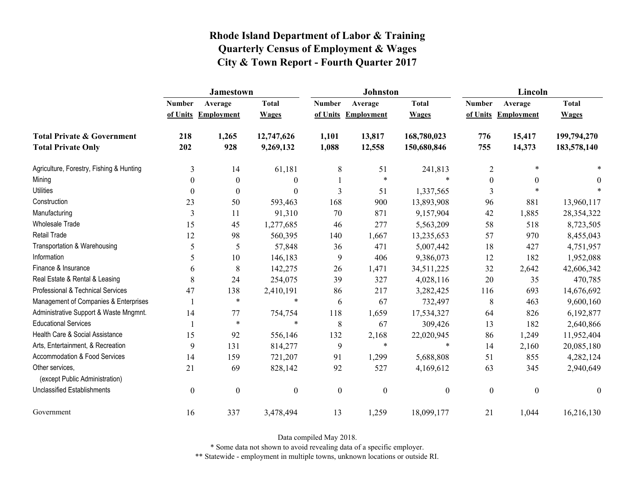|                                                   | <b>Jamestown</b> |                     |                  |                  | <b>Johnston</b>   |                  | Lincoln          |                     |                  |
|---------------------------------------------------|------------------|---------------------|------------------|------------------|-------------------|------------------|------------------|---------------------|------------------|
|                                                   | <b>Number</b>    | Average             | <b>Total</b>     | <b>Number</b>    | Average           | <b>Total</b>     | <b>Number</b>    | Average             | <b>Total</b>     |
|                                                   |                  | of Units Employment | <b>Wages</b>     | of Units         | <b>Employment</b> | <b>Wages</b>     |                  | of Units Employment | <b>Wages</b>     |
| <b>Total Private &amp; Government</b>             | 218              | 1,265               | 12,747,626       | 1,101            | 13,817            | 168,780,023      | 776              | 15,417              | 199,794,270      |
| <b>Total Private Only</b>                         | 202              | 928                 | 9,269,132        | 1,088            | 12,558            | 150,680,846      | 755              | 14,373              | 183,578,140      |
| Agriculture, Forestry, Fishing & Hunting          | 3                | 14                  | 61,181           | $\,8\,$          | 51                | 241,813          | $\overline{2}$   | $\ast$              |                  |
| Mining                                            | $\theta$         | $\boldsymbol{0}$    | $\boldsymbol{0}$ |                  | $\ast$            | $\ast$           | $\boldsymbol{0}$ | $\mathbf{0}$        | 0                |
| <b>Utilities</b>                                  | $\Omega$         | $\boldsymbol{0}$    | $\mathbf{0}$     | 3                | 51                | 1,337,565        | 3                | $\ast$              |                  |
| Construction                                      | 23               | 50                  | 593,463          | 168              | 900               | 13,893,908       | 96               | 881                 | 13,960,117       |
| Manufacturing                                     | 3                | 11                  | 91,310           | 70               | 871               | 9,157,904        | 42               | 1,885               | 28,354,322       |
| <b>Wholesale Trade</b>                            | 15               | 45                  | 1,277,685        | 46               | 277               | 5,563,209        | 58               | 518                 | 8,723,505        |
| Retail Trade                                      | 12               | 98                  | 560,395          | 140              | 1,667             | 13,235,653       | 57               | 970                 | 8,455,043        |
| Transportation & Warehousing                      | 5                | 5                   | 57,848           | 36               | 471               | 5,007,442        | 18               | 427                 | 4,751,957        |
| Information                                       | 5                | 10                  | 146,183          | 9                | 406               | 9,386,073        | 12               | 182                 | 1,952,088        |
| Finance & Insurance                               | 6                | $\,$ $\,$           | 142,275          | 26               | 1,471             | 34,511,225       | 32               | 2,642               | 42,606,342       |
| Real Estate & Rental & Leasing                    | 8                | 24                  | 254,075          | 39               | 327               | 4,028,116        | 20               | 35                  | 470,785          |
| Professional & Technical Services                 | 47               | 138                 | 2,410,191        | 86               | 217               | 3,282,425        | 116              | 693                 | 14,676,692       |
| Management of Companies & Enterprises             |                  | $\ast$              | $\ast$           | 6                | 67                | 732,497          | 8                | 463                 | 9,600,160        |
| Administrative Support & Waste Mngmnt.            | 14               | 77                  | 754,754          | 118              | 1,659             | 17,534,327       | 64               | 826                 | 6,192,877        |
| <b>Educational Services</b>                       |                  | $\ast$              | $\ast$           | 8                | 67                | 309,426          | 13               | 182                 | 2,640,866        |
| Health Care & Social Assistance                   | 15               | 92                  | 556,146          | 132              | 2,168             | 22,020,945       | 86               | 1,249               | 11,952,404       |
| Arts, Entertainment, & Recreation                 | 9                | 131                 | 814,277          | 9                | $\ast$            | $\ast$           | 14               | 2,160               | 20,085,180       |
| <b>Accommodation &amp; Food Services</b>          | 14               | 159                 | 721,207          | 91               | 1,299             | 5,688,808        | 51               | 855                 | 4,282,124        |
| Other services,<br>(except Public Administration) | 21               | 69                  | 828,142          | 92               | 527               | 4,169,612        | 63               | 345                 | 2,940,649        |
| <b>Unclassified Establishments</b>                | $\boldsymbol{0}$ | $\boldsymbol{0}$    | $\boldsymbol{0}$ | $\boldsymbol{0}$ | $\boldsymbol{0}$  | $\boldsymbol{0}$ | $\boldsymbol{0}$ | $\boldsymbol{0}$    | $\boldsymbol{0}$ |
| Government                                        | 16               | 337                 | 3,478,494        | 13               | 1,259             | 18,099,177       | 21               | 1,044               | 16,216,130       |

Data compiled May 2018.

\* Some data not shown to avoid revealing data of a specific employer.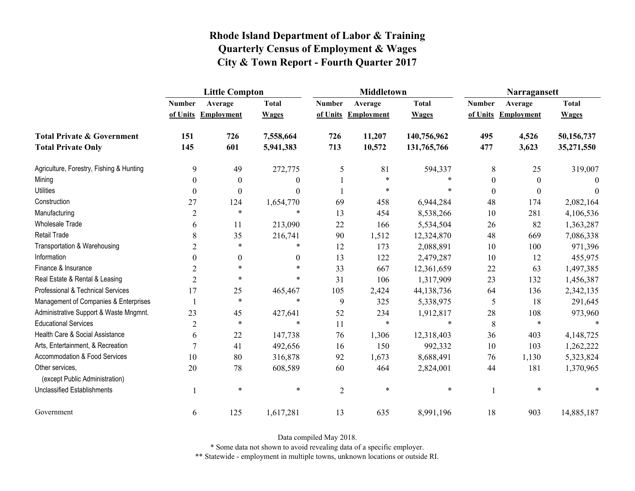|                                                   | <b>Little Compton</b> |                     |              |                | <b>Middletown</b>   |              | Narragansett     |                     |              |
|---------------------------------------------------|-----------------------|---------------------|--------------|----------------|---------------------|--------------|------------------|---------------------|--------------|
|                                                   | <b>Number</b>         | Average             | <b>Total</b> | <b>Number</b>  | Average             | <b>Total</b> | <b>Number</b>    | Average             | <b>Total</b> |
|                                                   |                       | of Units Employment | <b>Wages</b> |                | of Units Employment | <b>Wages</b> |                  | of Units Employment | <b>Wages</b> |
| <b>Total Private &amp; Government</b>             | 151                   | 726                 | 7,558,664    | 726            | 11,207              | 140,756,962  | 495              | 4,526               | 50,156,737   |
| <b>Total Private Only</b>                         | 145                   | 601                 | 5,941,383    | 713            | 10,572              | 131,765,766  | 477              | 3,623               | 35,271,550   |
| Agriculture, Forestry, Fishing & Hunting          | 9                     | 49                  | 272,775      | 5              | 81                  | 594,337      | $8\,$            | 25                  | 319,007      |
| Mining                                            | $\theta$              | $\theta$            | $\theta$     |                | $\ast$              | *            | $\overline{0}$   | $\overline{0}$      | $\Omega$     |
| <b>Utilities</b>                                  | $\boldsymbol{0}$      | $\boldsymbol{0}$    | $\theta$     |                | $\ast$              | $\ast$       | $\boldsymbol{0}$ | $\boldsymbol{0}$    | $\theta$     |
| Construction                                      | 27                    | 124                 | 1,654,770    | 69             | 458                 | 6,944,284    | 48               | 174                 | 2,082,164    |
| Manufacturing                                     | $\overline{2}$        | $\ast$              | $\ast$       | 13             | 454                 | 8,538,266    | 10               | 281                 | 4,106,536    |
| Wholesale Trade                                   | 6                     | 11                  | 213,090      | 22             | 166                 | 5,534,504    | 26               | 82                  | 1,363,287    |
| Retail Trade                                      | 8                     | 35                  | 216,741      | 90             | 1,512               | 12,324,870   | 48               | 669                 | 7,086,338    |
| Transportation & Warehousing                      | $\overline{2}$        | $\ast$              | *            | 12             | 173                 | 2,088,891    | 10               | 100                 | 971,396      |
| Information                                       | $\overline{0}$        | $\boldsymbol{0}$    | $\mathbf{0}$ | 13             | 122                 | 2,479,287    | 10               | 12                  | 455,975      |
| Finance & Insurance                               | $\overline{2}$        | $\ast$              | $\ast$       | 33             | 667                 | 12,361,659   | 22               | 63                  | 1,497,385    |
| Real Estate & Rental & Leasing                    | $\overline{2}$        | $\ast$              | $\ast$       | 31             | 106                 | 1,317,909    | 23               | 132                 | 1,456,387    |
| Professional & Technical Services                 | 17                    | 25                  | 465,467      | 105            | 2,424               | 44,138,736   | 64               | 136                 | 2,342,135    |
| Management of Companies & Enterprises             |                       | $\ast$              | $\ast$       | 9              | 325                 | 5,338,975    | 5                | 18                  | 291,645      |
| Administrative Support & Waste Mngmnt.            | 23                    | 45                  | 427,641      | 52             | 234                 | 1,912,817    | 28               | 108                 | 973,960      |
| <b>Educational Services</b>                       | $\overline{2}$        | $\ast$              | $\ast$       | 11             | $\ast$              | $\ast$       | 8                | $\ast$              |              |
| Health Care & Social Assistance                   | 6                     | 22                  | 147,738      | 76             | 1,306               | 12,318,403   | 36               | 403                 | 4,148,725    |
| Arts, Entertainment, & Recreation                 | $\overline{7}$        | 41                  | 492,656      | 16             | 150                 | 992,332      | 10               | 103                 | 1,262,222    |
| <b>Accommodation &amp; Food Services</b>          | 10                    | 80                  | 316,878      | 92             | 1,673               | 8,688,491    | 76               | 1,130               | 5,323,824    |
| Other services,<br>(except Public Administration) | 20                    | 78                  | 608,589      | 60             | 464                 | 2,824,001    | 44               | 181                 | 1,370,965    |
| <b>Unclassified Establishments</b>                |                       | $\ast$              | $\ast$       | $\overline{2}$ | $\ast$              | $\ast$       |                  | $\ast$              | $\ast$       |
| Government                                        | 6                     | 125                 | 1,617,281    | 13             | 635                 | 8,991,196    | 18               | 903                 | 14,885,187   |

Data compiled May 2018.

\* Some data not shown to avoid revealing data of a specific employer.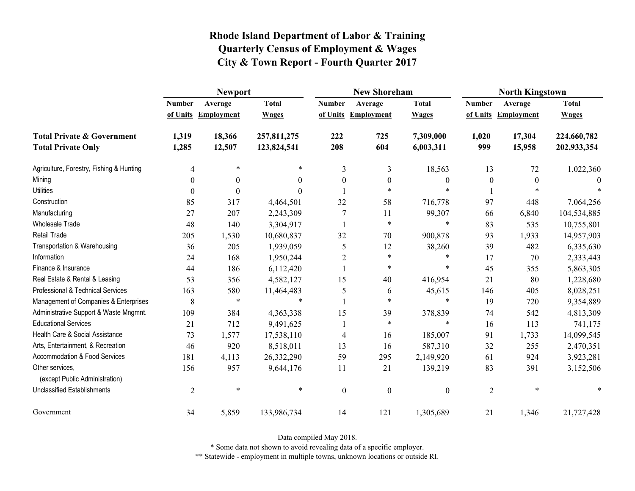|                                                   | <b>Newport</b> |                     |              |                  | <b>New Shoreham</b> |                  | <b>North Kingstown</b> |                     |              |  |
|---------------------------------------------------|----------------|---------------------|--------------|------------------|---------------------|------------------|------------------------|---------------------|--------------|--|
|                                                   | <b>Number</b>  | Average             | <b>Total</b> | <b>Number</b>    | Average             | <b>Total</b>     | <b>Number</b>          | Average             | <b>Total</b> |  |
|                                                   |                | of Units Employment | <b>Wages</b> |                  | of Units Employment | <b>Wages</b>     |                        | of Units Employment | <b>Wages</b> |  |
| <b>Total Private &amp; Government</b>             | 1,319          | 18,366              | 257,811,275  | 222              | 725                 | 7,309,000        | 1,020                  | 17,304              | 224,660,782  |  |
| <b>Total Private Only</b>                         | 1,285          | 12,507              | 123,824,541  | 208              | 604                 | 6,003,311        | 999                    | 15,958              | 202,933,354  |  |
| Agriculture, Forestry, Fishing & Hunting          | $\overline{4}$ | $\ast$              | *            | 3                | 3                   | 18,563           | 13                     | 72                  | 1,022,360    |  |
| Mining                                            | 0              | $\theta$            | 0            | $\theta$         | $\boldsymbol{0}$    | $\boldsymbol{0}$ | $\mathbf{0}$           | $\boldsymbol{0}$    | $\Omega$     |  |
| <b>Utilities</b>                                  | $\theta$       |                     | 0            |                  | $\ast$              | $\ast$           |                        |                     |              |  |
| Construction                                      | 85             | 317                 | 4,464,501    | 32               | 58                  | 716,778          | 97                     | 448                 | 7,064,256    |  |
| Manufacturing                                     | 27             | 207                 | 2,243,309    | 7                | 11                  | 99,307           | 66                     | 6,840               | 104,534,885  |  |
| Wholesale Trade                                   | 48             | 140                 | 3,304,917    |                  | $\ast$              | $\ast$           | 83                     | 535                 | 10,755,801   |  |
| <b>Retail Trade</b>                               | 205            | 1,530               | 10,680,837   | 32               | 70                  | 900,878          | 93                     | 1,933               | 14,957,903   |  |
| Transportation & Warehousing                      | 36             | 205                 | 1,939,059    | 5                | 12                  | 38,260           | 39                     | 482                 | 6,335,630    |  |
| Information                                       | 24             | 168                 | 1,950,244    | $\overline{2}$   | $\ast$              | *                | 17                     | 70                  | 2,333,443    |  |
| Finance & Insurance                               | 44             | 186                 | 6,112,420    |                  | $\ast$              | $\ast$           | 45                     | 355                 | 5,863,305    |  |
| Real Estate & Rental & Leasing                    | 53             | 356                 | 4,582,127    | 15               | 40                  | 416,954          | 21                     | 80                  | 1,228,680    |  |
| Professional & Technical Services                 | 163            | 580                 | 11,464,483   | 5                | 6                   | 45,615           | 146                    | 405                 | 8,028,251    |  |
| Management of Companies & Enterprises             | 8              | $\ast$              | $\ast$       |                  | $\ast$              | $\ast$           | 19                     | 720                 | 9,354,889    |  |
| Administrative Support & Waste Mngmnt.            | 109            | 384                 | 4,363,338    | 15               | 39                  | 378,839          | 74                     | 542                 | 4,813,309    |  |
| <b>Educational Services</b>                       | 21             | 712                 | 9,491,625    |                  | $\ast$              | $\ast$           | 16                     | 113                 | 741,175      |  |
| Health Care & Social Assistance                   | 73             | 1,577               | 17,538,110   | $\overline{4}$   | 16                  | 185,007          | 91                     | 1,733               | 14,099,545   |  |
| Arts, Entertainment, & Recreation                 | 46             | 920                 | 8,518,011    | 13               | 16                  | 587,310          | 32                     | 255                 | 2,470,351    |  |
| Accommodation & Food Services                     | 181            | 4,113               | 26,332,290   | 59               | 295                 | 2,149,920        | 61                     | 924                 | 3,923,281    |  |
| Other services,<br>(except Public Administration) | 156            | 957                 | 9,644,176    | 11               | 21                  | 139,219          | 83                     | 391                 | 3,152,506    |  |
| Unclassified Establishments                       | $\overline{2}$ | $\ast$              | $\ast$       | $\boldsymbol{0}$ | $\boldsymbol{0}$    | $\boldsymbol{0}$ | $\overline{2}$         | $\ast$              |              |  |
| Government                                        | 34             | 5,859               | 133,986,734  | 14               | 121                 | 1,305,689        | 21                     | 1,346               | 21,727,428   |  |

Data compiled May 2018.

\* Some data not shown to avoid revealing data of a specific employer.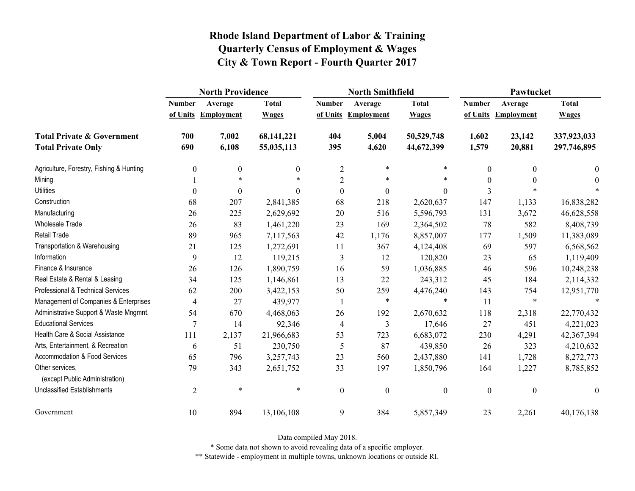|                                                   | <b>North Providence</b> |                     |              |                  | <b>North Smithfield</b> |                  | Pawtucket        |                     |                  |
|---------------------------------------------------|-------------------------|---------------------|--------------|------------------|-------------------------|------------------|------------------|---------------------|------------------|
|                                                   | <b>Number</b>           | Average             | <b>Total</b> | <b>Number</b>    | Average                 | <b>Total</b>     | <b>Number</b>    | Average             | <b>Total</b>     |
|                                                   |                         | of Units Employment | <b>Wages</b> |                  | of Units Employment     | <b>Wages</b>     |                  | of Units Employment | <b>Wages</b>     |
| <b>Total Private &amp; Government</b>             | 700                     | 7,002               | 68,141,221   | 404              | 5,004                   | 50,529,748       | 1,602            | 23,142              | 337,923,033      |
| <b>Total Private Only</b>                         | 690                     | 6,108               | 55,035,113   | 395              | 4,620                   | 44,672,399       | 1,579            | 20,881              | 297,746,895      |
| Agriculture, Forestry, Fishing & Hunting          | $\boldsymbol{0}$        | 0                   | $\mathbf{0}$ | $\overline{2}$   | $\ast$                  | *                | $\theta$         | $\boldsymbol{0}$    | $\bf{0}$         |
| Mining                                            |                         | $\ast$              |              | $\overline{2}$   | $\ast$                  | $\ast$           | $\theta$         | $\theta$            | $\theta$         |
| <b>Utilities</b>                                  | $\theta$                | $\theta$            | $\Omega$     | $\boldsymbol{0}$ | $\boldsymbol{0}$        | $\overline{0}$   | 3                |                     |                  |
| Construction                                      | 68                      | 207                 | 2,841,385    | 68               | 218                     | 2,620,637        | 147              | 1,133               | 16,838,282       |
| Manufacturing                                     | 26                      | 225                 | 2,629,692    | 20               | 516                     | 5,596,793        | 131              | 3,672               | 46,628,558       |
| <b>Wholesale Trade</b>                            | 26                      | 83                  | 1,461,220    | 23               | 169                     | 2,364,502        | 78               | 582                 | 8,408,739        |
| <b>Retail Trade</b>                               | 89                      | 965                 | 7,117,563    | 42               | 1,176                   | 8,857,007        | 177              | 1,509               | 11,383,089       |
| Transportation & Warehousing                      | 21                      | 125                 | 1,272,691    | 11               | 367                     | 4,124,408        | 69               | 597                 | 6,568,562        |
| Information                                       | 9                       | 12                  | 119,215      | 3                | 12                      | 120,820          | 23               | 65                  | 1,119,409        |
| Finance & Insurance                               | 26                      | 126                 | 1,890,759    | 16               | 59                      | 1,036,885        | 46               | 596                 | 10,248,238       |
| Real Estate & Rental & Leasing                    | 34                      | 125                 | 1,146,861    | 13               | 22                      | 243,312          | 45               | 184                 | 2,114,332        |
| Professional & Technical Services                 | 62                      | 200                 | 3,422,153    | 50               | 259                     | 4,476,240        | 143              | 754                 | 12,951,770       |
| Management of Companies & Enterprises             | $\overline{4}$          | 27                  | 439,977      |                  | $\ast$                  | $\ast$           | 11               | $\ast$              | $\ast$           |
| Administrative Support & Waste Mngmnt.            | 54                      | 670                 | 4,468,063    | 26               | 192                     | 2,670,632        | 118              | 2,318               | 22,770,432       |
| <b>Educational Services</b>                       | $\overline{7}$          | 14                  | 92,346       | 4                | 3                       | 17,646           | 27               | 451                 | 4,221,023        |
| Health Care & Social Assistance                   | 111                     | 2,137               | 21,966,683   | 53               | 723                     | 6,683,072        | 230              | 4,291               | 42,367,394       |
| Arts, Entertainment, & Recreation                 | 6                       | 51                  | 230,750      | 5                | 87                      | 439,850          | 26               | 323                 | 4,210,632        |
| Accommodation & Food Services                     | 65                      | 796                 | 3,257,743    | 23               | 560                     | 2,437,880        | 141              | 1,728               | 8,272,773        |
| Other services,<br>(except Public Administration) | 79                      | 343                 | 2,651,752    | 33               | 197                     | 1,850,796        | 164              | 1,227               | 8,785,852        |
| <b>Unclassified Establishments</b>                | $\overline{2}$          | $\ast$              | $\ast$       | $\boldsymbol{0}$ | $\boldsymbol{0}$        | $\boldsymbol{0}$ | $\boldsymbol{0}$ | $\boldsymbol{0}$    | $\boldsymbol{0}$ |
| Government                                        | 10                      | 894                 | 13,106,108   | 9                | 384                     | 5,857,349        | 23               | 2,261               | 40,176,138       |

Data compiled May 2018.

\* Some data not shown to avoid revealing data of a specific employer.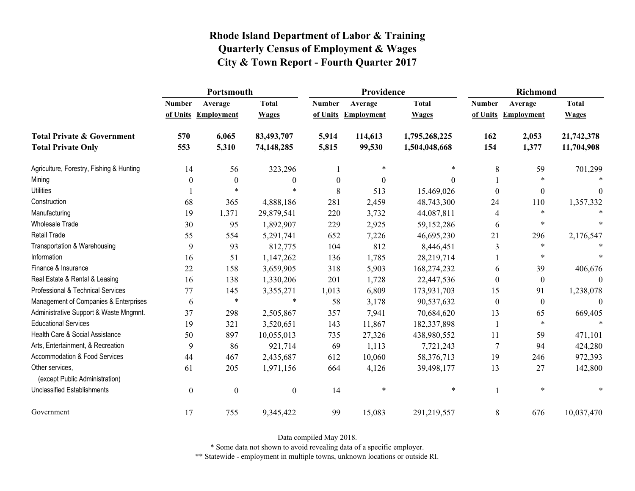|                                                   | Portsmouth       |                     |                  |                  | Providence          |               | <b>Richmond</b>          |                     |              |
|---------------------------------------------------|------------------|---------------------|------------------|------------------|---------------------|---------------|--------------------------|---------------------|--------------|
|                                                   | <b>Number</b>    | Average             | <b>Total</b>     | <b>Number</b>    | Average             | <b>Total</b>  | <b>Number</b>            | Average             | <b>Total</b> |
|                                                   |                  | of Units Employment | <b>Wages</b>     |                  | of Units Employment | <b>Wages</b>  |                          | of Units Employment | <b>Wages</b> |
| <b>Total Private &amp; Government</b>             | 570              | 6,065               | 83,493,707       | 5,914            | 114,613             | 1,795,268,225 | 162                      | 2,053               | 21,742,378   |
| <b>Total Private Only</b>                         | 553              | 5,310               | 74,148,285       | 5,815            | 99,530              | 1,504,048,668 | 154                      | 1,377               | 11,704,908   |
| Agriculture, Forestry, Fishing & Hunting          | 14               | 56                  | 323,296          |                  | $\ast$              | $\ast$        | 8                        | 59                  | 701,299      |
| Mining                                            | 0                | $\boldsymbol{0}$    | $\boldsymbol{0}$ | $\boldsymbol{0}$ | 0                   | $\Omega$      |                          | $\ast$              |              |
| <b>Utilities</b>                                  |                  | $\ast$              | *                | 8                | 513                 | 15,469,026    | $\theta$                 | $\boldsymbol{0}$    | $\Omega$     |
| Construction                                      | 68               | 365                 | 4,888,186        | 281              | 2,459               | 48,743,300    | 24                       | 110                 | 1,357,332    |
| Manufacturing                                     | 19               | 1,371               | 29,879,541       | 220              | 3,732               | 44,087,811    | $\overline{\mathcal{A}}$ | $\ast$              |              |
| <b>Wholesale Trade</b>                            | 30               | 95                  | 1,892,907        | 229              | 2,925               | 59,152,286    | 6                        | $\ast$              |              |
| <b>Retail Trade</b>                               | 55               | 554                 | 5,291,741        | 652              | 7,226               | 46,695,230    | 21                       | 296                 | 2,176,547    |
| Transportation & Warehousing                      | 9                | 93                  | 812,775          | 104              | 812                 | 8,446,451     | 3                        | $\ast$              |              |
| Information                                       | 16               | 51                  | 1,147,262        | 136              | 1,785               | 28,219,714    |                          | $\ast$              |              |
| Finance & Insurance                               | 22               | 158                 | 3,659,905        | 318              | 5,903               | 168,274,232   | 6                        | 39                  | 406,676      |
| Real Estate & Rental & Leasing                    | 16               | 138                 | 1,330,206        | 201              | 1,728               | 22,447,536    | $\Omega$                 | $\boldsymbol{0}$    |              |
| Professional & Technical Services                 | 77               | 145                 | 3,355,271        | 1,013            | 6,809               | 173,931,703   | 15                       | 91                  | 1,238,078    |
| Management of Companies & Enterprises             | 6                | $\ast$              | $\ast$           | 58               | 3,178               | 90,537,632    | $\theta$                 | $\boldsymbol{0}$    | $\theta$     |
| Administrative Support & Waste Mngmnt.            | 37               | 298                 | 2,505,867        | 357              | 7,941               | 70,684,620    | 13                       | 65                  | 669,405      |
| <b>Educational Services</b>                       | 19               | 321                 | 3,520,651        | 143              | 11,867              | 182,337,898   |                          | $\ast$              | $\ast$       |
| Health Care & Social Assistance                   | 50               | 897                 | 10,055,013       | 735              | 27,326              | 438,980,552   | 11                       | 59                  | 471,101      |
| Arts, Entertainment, & Recreation                 | 9                | 86                  | 921,714          | 69               | 1,113               | 7,721,243     | $\overline{7}$           | 94                  | 424,280      |
| Accommodation & Food Services                     | 44               | 467                 | 2,435,687        | 612              | 10,060              | 58,376,713    | 19                       | 246                 | 972,393      |
| Other services,<br>(except Public Administration) | 61               | 205                 | 1,971,156        | 664              | 4,126               | 39,498,177    | 13                       | 27                  | 142,800      |
| <b>Unclassified Establishments</b>                | $\boldsymbol{0}$ | $\boldsymbol{0}$    | $\boldsymbol{0}$ | 14               | $\ast$              | $\ast$        |                          | $\ast$              |              |
| Government                                        | 17               | 755                 | 9,345,422        | 99               | 15,083              | 291,219,557   | 8                        | 676                 | 10,037,470   |

Data compiled May 2018.

\* Some data not shown to avoid revealing data of a specific employer.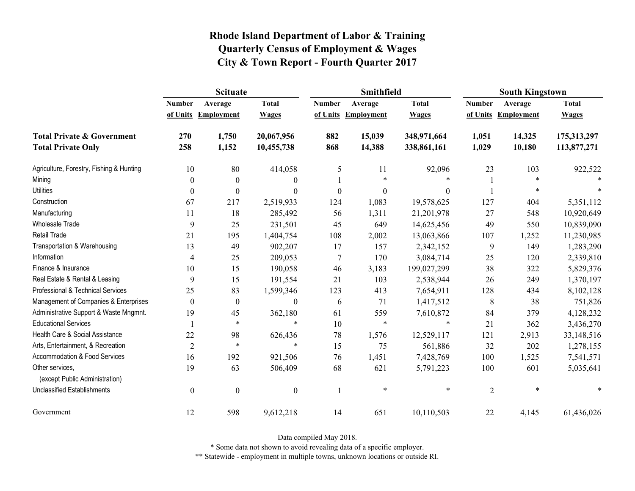|                                                   | <b>Scituate</b>  |                     |                  |                  | <b>Smithfield</b> |                  | <b>South Kingstown</b> |                     |              |
|---------------------------------------------------|------------------|---------------------|------------------|------------------|-------------------|------------------|------------------------|---------------------|--------------|
|                                                   | <b>Number</b>    | Average             | <b>Total</b>     | <b>Number</b>    | Average           | <b>Total</b>     | <b>Number</b>          | Average             | <b>Total</b> |
|                                                   |                  | of Units Employment | <b>Wages</b>     | of Units         | <b>Employment</b> | <b>Wages</b>     |                        | of Units Employment | <b>Wages</b> |
| <b>Total Private &amp; Government</b>             | 270              | 1,750               | 20,067,956       | 882              | 15,039            | 348,971,664      | 1,051                  | 14,325              | 175,313,297  |
| <b>Total Private Only</b>                         | 258              | 1,152               | 10,455,738       | 868              | 14,388            | 338,861,161      | 1,029                  | 10,180              | 113,877,271  |
| Agriculture, Forestry, Fishing & Hunting          | 10               | 80                  | 414,058          | 5                | 11                | 92,096           | 23                     | 103                 | 922,522      |
| Mining                                            | $\theta$         | $\boldsymbol{0}$    | $\mathbf{0}$     |                  | $\ast$            | $\ast$           |                        | *                   | $\ast$       |
| <b>Utilities</b>                                  | 0                | $\boldsymbol{0}$    | $\mathbf{0}$     | $\boldsymbol{0}$ | $\boldsymbol{0}$  | $\boldsymbol{0}$ |                        | $\ast$              |              |
| Construction                                      | 67               | 217                 | 2,519,933        | 124              | 1,083             | 19,578,625       | 127                    | 404                 | 5,351,112    |
| Manufacturing                                     | 11               | 18                  | 285,492          | 56               | 1,311             | 21,201,978       | 27                     | 548                 | 10,920,649   |
| Wholesale Trade                                   | 9                | 25                  | 231,501          | 45               | 649               | 14,625,456       | 49                     | 550                 | 10,839,090   |
| <b>Retail Trade</b>                               | 21               | 195                 | 1,404,754        | 108              | 2,002             | 13,063,866       | 107                    | 1,252               | 11,230,985   |
| Transportation & Warehousing                      | 13               | 49                  | 902,207          | 17               | 157               | 2,342,152        | 9                      | 149                 | 1,283,290    |
| Information                                       | 4                | 25                  | 209,053          | $\overline{7}$   | 170               | 3,084,714        | 25                     | 120                 | 2,339,810    |
| Finance & Insurance                               | 10               | 15                  | 190,058          | 46               | 3,183             | 199,027,299      | 38                     | 322                 | 5,829,376    |
| Real Estate & Rental & Leasing                    | 9                | 15                  | 191,554          | 21               | 103               | 2,538,944        | 26                     | 249                 | 1,370,197    |
| Professional & Technical Services                 | 25               | 83                  | 1,599,346        | 123              | 413               | 7,654,911        | 128                    | 434                 | 8,102,128    |
| Management of Companies & Enterprises             | $\theta$         | $\boldsymbol{0}$    | $\boldsymbol{0}$ | 6                | 71                | 1,417,512        | 8                      | 38                  | 751,826      |
| Administrative Support & Waste Mngmnt.            | 19               | 45                  | 362,180          | 61               | 559               | 7,610,872        | 84                     | 379                 | 4,128,232    |
| <b>Educational Services</b>                       |                  | $\ast$              | $\ast$           | 10               | $\ast$            | $\ast$           | 21                     | 362                 | 3,436,270    |
| Health Care & Social Assistance                   | 22               | 98                  | 626,436          | 78               | 1,576             | 12,529,117       | 121                    | 2,913               | 33,148,516   |
| Arts, Entertainment, & Recreation                 | $\overline{2}$   | $\ast$              | $\ast$           | 15               | 75                | 561,886          | 32                     | 202                 | 1,278,155    |
| <b>Accommodation &amp; Food Services</b>          | 16               | 192                 | 921,506          | 76               | 1,451             | 7,428,769        | 100                    | 1,525               | 7,541,571    |
| Other services,<br>(except Public Administration) | 19               | 63                  | 506,409          | 68               | 621               | 5,791,223        | 100                    | 601                 | 5,035,641    |
| <b>Unclassified Establishments</b>                | $\boldsymbol{0}$ | $\boldsymbol{0}$    | $\boldsymbol{0}$ |                  | $\ast$            | $\ast$           | $\overline{2}$         | $\ast$              | $\ast$       |
| Government                                        | 12               | 598                 | 9,612,218        | 14               | 651               | 10,110,503       | 22                     | 4,145               | 61,436,026   |

Data compiled May 2018.

\* Some data not shown to avoid revealing data of a specific employer.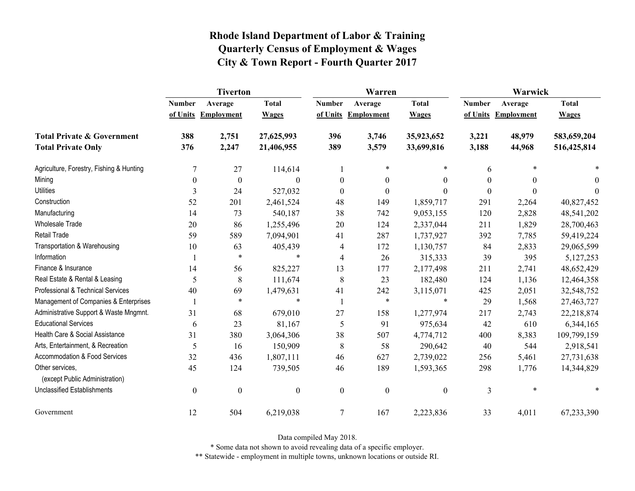|                                                   | <b>Tiverton</b>  |                   |                  |                  | Warren              |                  | Warwick       |                     |              |
|---------------------------------------------------|------------------|-------------------|------------------|------------------|---------------------|------------------|---------------|---------------------|--------------|
|                                                   | <b>Number</b>    | Average           | <b>Total</b>     | <b>Number</b>    | Average             | <b>Total</b>     | <b>Number</b> | Average             | <b>Total</b> |
|                                                   | of Units         | <b>Employment</b> | <b>Wages</b>     |                  | of Units Employment | <b>Wages</b>     |               | of Units Employment | <b>Wages</b> |
| <b>Total Private &amp; Government</b>             | 388              | 2,751             | 27,625,993       | 396              | 3,746               | 35,923,652       | 3,221         | 48,979              | 583,659,204  |
| <b>Total Private Only</b>                         | 376              | 2,247             | 21,406,955       | 389              | 3,579               | 33,699,816       | 3,188         | 44,968              | 516,425,814  |
| Agriculture, Forestry, Fishing & Hunting          | 7                | 27                | 114,614          | 1                | $\ast$              | *                | 6             | $\ast$              |              |
| Mining                                            | $\boldsymbol{0}$ | $\boldsymbol{0}$  | $\theta$         | $\boldsymbol{0}$ | $\boldsymbol{0}$    | $\boldsymbol{0}$ | $\theta$      | $\theta$            | $\theta$     |
| <b>Utilities</b>                                  | 3                | 24                | 527,032          | $\mathbf{0}$     | $\mathbf{0}$        | $\theta$         | $\Omega$      | $\Omega$            | $\theta$     |
| Construction                                      | 52               | 201               | 2,461,524        | 48               | 149                 | 1,859,717        | 291           | 2,264               | 40,827,452   |
| Manufacturing                                     | 14               | 73                | 540,187          | 38               | 742                 | 9,053,155        | 120           | 2,828               | 48,541,202   |
| <b>Wholesale Trade</b>                            | 20               | 86                | 1,255,496        | 20               | 124                 | 2,337,044        | 211           | 1,829               | 28,700,463   |
| <b>Retail Trade</b>                               | 59               | 589               | 7,094,901        | 41               | 287                 | 1,737,927        | 392           | 7,785               | 59,419,224   |
| Transportation & Warehousing                      | 10               | 63                | 405,439          | 4                | 172                 | 1,130,757        | 84            | 2,833               | 29,065,599   |
| Information                                       |                  | $\ast$            | $\ast$           | 4                | 26                  | 315,333          | 39            | 395                 | 5,127,253    |
| Finance & Insurance                               | 14               | 56                | 825,227          | 13               | 177                 | 2,177,498        | 211           | 2,741               | 48,652,429   |
| Real Estate & Rental & Leasing                    | 5                | 8                 | 111,674          | 8                | 23                  | 182,480          | 124           | 1,136               | 12,464,358   |
| Professional & Technical Services                 | 40               | 69                | 1,479,631        | 41               | 242                 | 3,115,071        | 425           | 2,051               | 32,548,752   |
| Management of Companies & Enterprises             |                  | $\ast$            | $\ast$           |                  | $\ast$              | $\ast$           | 29            | 1,568               | 27,463,727   |
| Administrative Support & Waste Mngmnt.            | 31               | 68                | 679,010          | 27               | 158                 | 1,277,974        | 217           | 2,743               | 22,218,874   |
| <b>Educational Services</b>                       | 6                | 23                | 81,167           | 5                | 91                  | 975,634          | 42            | 610                 | 6,344,165    |
| Health Care & Social Assistance                   | 31               | 380               | 3,064,306        | 38               | 507                 | 4,774,712        | 400           | 8,383               | 109,799,159  |
| Arts, Entertainment, & Recreation                 | 5                | 16                | 150,909          | 8                | 58                  | 290,642          | 40            | 544                 | 2,918,541    |
| <b>Accommodation &amp; Food Services</b>          | 32               | 436               | 1,807,111        | 46               | 627                 | 2,739,022        | 256           | 5,461               | 27,731,638   |
| Other services,<br>(except Public Administration) | 45               | 124               | 739,505          | 46               | 189                 | 1,593,365        | 298           | 1,776               | 14,344,829   |
| <b>Unclassified Establishments</b>                | $\boldsymbol{0}$ | $\boldsymbol{0}$  | $\boldsymbol{0}$ | $\boldsymbol{0}$ | $\boldsymbol{0}$    | $\boldsymbol{0}$ | 3             | $\ast$              | $\ast$       |
| Government                                        | 12               | 504               | 6,219,038        | $\tau$           | 167                 | 2,223,836        | 33            | 4,011               | 67,233,390   |

Data compiled May 2018.

\* Some data not shown to avoid revealing data of a specific employer.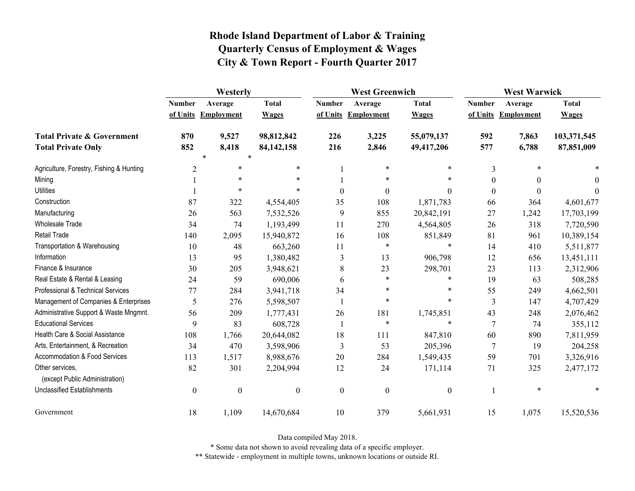|                                                   | Westerly         |                     |                  |                  | <b>West Greenwich</b> |                  |                  | <b>West Warwick</b> |              |  |
|---------------------------------------------------|------------------|---------------------|------------------|------------------|-----------------------|------------------|------------------|---------------------|--------------|--|
|                                                   | <b>Number</b>    | Average             | <b>Total</b>     | <b>Number</b>    | Average               | <b>Total</b>     | <b>Number</b>    | Average             | <b>Total</b> |  |
|                                                   |                  | of Units Employment | <b>Wages</b>     |                  | of Units Employment   | <b>Wages</b>     |                  | of Units Employment | <b>Wages</b> |  |
| <b>Total Private &amp; Government</b>             | 870              | 9,527               | 98,812,842       | 226              | 3,225                 | 55,079,137       | 592              | 7,863               | 103,371,545  |  |
| <b>Total Private Only</b>                         | 852              | 8,418               | 84, 142, 158     | 216              | 2,846                 | 49,417,206       | 577              | 6,788               | 87,851,009   |  |
|                                                   |                  | $\ast$              |                  |                  |                       |                  |                  |                     |              |  |
| Agriculture, Forestry, Fishing & Hunting          | $\overline{2}$   | $\ast$              | $\ast$           |                  | $\ast$                | $\ast$           | 3                | *                   |              |  |
| Mining                                            |                  | $\ast$              | $\ast$           |                  | $\ast$                | *                | $\boldsymbol{0}$ | 0                   | $\Omega$     |  |
| <b>Utilities</b>                                  |                  | $\ast$              | $\ast$           | $\theta$         | $\boldsymbol{0}$      | $\theta$         | $\boldsymbol{0}$ | $\Omega$            | $\Omega$     |  |
| Construction                                      | 87               | 322                 | 4,554,405        | 35               | 108                   | 1,871,783        | 66               | 364                 | 4,601,677    |  |
| Manufacturing                                     | 26               | 563                 | 7,532,526        | 9                | 855                   | 20,842,191       | 27               | 1,242               | 17,703,199   |  |
| <b>Wholesale Trade</b>                            | 34               | 74                  | 1,193,499        | 11               | 270                   | 4,564,805        | 26               | 318                 | 7,720,590    |  |
| <b>Retail Trade</b>                               | 140              | 2,095               | 15,940,872       | 16               | 108                   | 851,849          | 81               | 961                 | 10,389,154   |  |
| Transportation & Warehousing                      | 10               | 48                  | 663,260          | 11               | $\ast$                | $\ast$           | 14               | 410                 | 5,511,877    |  |
| Information                                       | 13               | 95                  | 1,380,482        | 3                | 13                    | 906,798          | 12               | 656                 | 13,451,111   |  |
| Finance & Insurance                               | 30               | 205                 | 3,948,621        | 8                | 23                    | 298,701          | 23               | 113                 | 2,312,906    |  |
| Real Estate & Rental & Leasing                    | 24               | 59                  | 690,006          | 6                | $\ast$                | $\ast$           | 19               | 63                  | 508,285      |  |
| Professional & Technical Services                 | 77               | 284                 | 3,941,718        | 34               | *                     | $\ast$           | 55               | 249                 | 4,662,501    |  |
| Management of Companies & Enterprises             | 5                | 276                 | 5,598,507        |                  | $\ast$                | $\ast$           | 3                | 147                 | 4,707,429    |  |
| Administrative Support & Waste Mngmnt.            | 56               | 209                 | 1,777,431        | 26               | 181                   | 1,745,851        | 43               | 248                 | 2,076,462    |  |
| <b>Educational Services</b>                       | 9                | 83                  | 608,728          |                  | $\ast$                | $\ast$           | 7                | 74                  | 355,112      |  |
| Health Care & Social Assistance                   | 108              | 1,766               | 20,644,082       | 18               | 111                   | 847,810          | 60               | 890                 | 7,811,959    |  |
| Arts, Entertainment, & Recreation                 | 34               | 470                 | 3,598,906        | $\mathfrak{Z}$   | 53                    | 205,396          | $\overline{7}$   | 19                  | 204,258      |  |
| Accommodation & Food Services                     | 113              | 1,517               | 8,988,676        | 20               | 284                   | 1,549,435        | 59               | 701                 | 3,326,916    |  |
| Other services,<br>(except Public Administration) | 82               | 301                 | 2,204,994        | 12               | 24                    | 171,114          | 71               | 325                 | 2,477,172    |  |
| <b>Unclassified Establishments</b>                | $\boldsymbol{0}$ | $\boldsymbol{0}$    | $\boldsymbol{0}$ | $\boldsymbol{0}$ | $\boldsymbol{0}$      | $\boldsymbol{0}$ |                  | $\ast$              |              |  |
| Government                                        | 18               | 1,109               | 14,670,684       | 10               | 379                   | 5,661,931        | 15               | 1,075               | 15,520,536   |  |

Data compiled May 2018.

\* Some data not shown to avoid revealing data of a specific employer.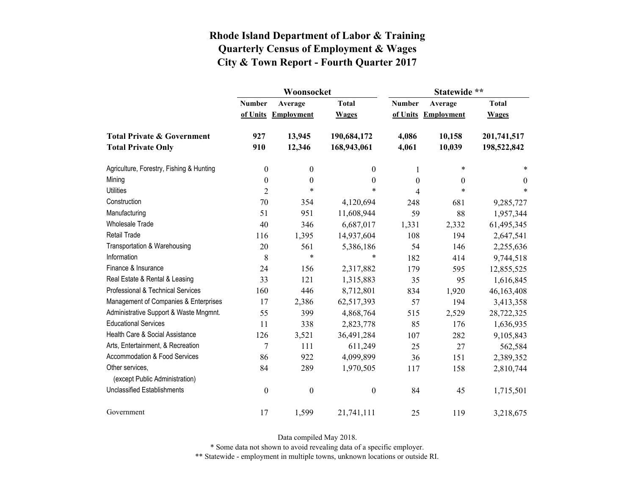|                                                   |                  | Woonsocket        |                  | Statewide **  |                     |                |  |
|---------------------------------------------------|------------------|-------------------|------------------|---------------|---------------------|----------------|--|
|                                                   | <b>Number</b>    | Average           | <b>Total</b>     | <b>Number</b> | Average             | <b>Total</b>   |  |
|                                                   | of Units         | <b>Employment</b> | <b>Wages</b>     |               | of Units Employment | <b>Wages</b>   |  |
| <b>Total Private &amp; Government</b>             | 927              | 13,945            | 190,684,172      | 4,086         | 10,158              | 201,741,517    |  |
| <b>Total Private Only</b>                         | 910              | 12,346            | 168,943,061      | 4,061         | 10,039              | 198,522,842    |  |
| Agriculture, Forestry, Fishing & Hunting          | $\boldsymbol{0}$ | $\boldsymbol{0}$  | 0                | 1             | $\ast$              | *              |  |
| Mining                                            | $\boldsymbol{0}$ | $\boldsymbol{0}$  | $\boldsymbol{0}$ | $\theta$      | $\overline{0}$      | $\overline{0}$ |  |
| <b>Utilities</b>                                  | $\overline{2}$   | $\ast$            | $\ast$           | 4             | $\ast$              | $\ast$         |  |
| Construction                                      | 70               | 354               | 4,120,694        | 248           | 681                 | 9,285,727      |  |
| Manufacturing                                     | 51               | 951               | 11,608,944       | 59            | 88                  | 1,957,344      |  |
| <b>Wholesale Trade</b>                            | 40               | 346               | 6,687,017        | 1,331         | 2,332               | 61,495,345     |  |
| <b>Retail Trade</b>                               | 116              | 1,395             | 14,937,604       | 108           | 194                 | 2,647,541      |  |
| Transportation & Warehousing                      | 20               | 561               | 5,386,186        | 54            | 146                 | 2,255,636      |  |
| Information                                       | 8                | $\ast$            | $\ast$           | 182           | 414                 | 9,744,518      |  |
| Finance & Insurance                               | 24               | 156               | 2,317,882        | 179           | 595                 | 12,855,525     |  |
| Real Estate & Rental & Leasing                    | 33               | 121               | 1,315,883        | 35            | 95                  | 1,616,845      |  |
| Professional & Technical Services                 | 160              | 446               | 8,712,801        | 834           | 1,920               | 46,163,408     |  |
| Management of Companies & Enterprises             | 17               | 2,386             | 62,517,393       | 57            | 194                 | 3,413,358      |  |
| Administrative Support & Waste Mngmnt.            | 55               | 399               | 4,868,764        | 515           | 2,529               | 28,722,325     |  |
| <b>Educational Services</b>                       | 11               | 338               | 2,823,778        | 85            | 176                 | 1,636,935      |  |
| Health Care & Social Assistance                   | 126              | 3,521             | 36,491,284       | 107           | 282                 | 9,105,843      |  |
| Arts, Entertainment, & Recreation                 | $\overline{7}$   | 111               | 611,249          | 25            | 27                  | 562,584        |  |
| Accommodation & Food Services                     | 86               | 922               | 4,099,899        | 36            | 151                 | 2,389,352      |  |
| Other services,<br>(except Public Administration) | 84               | 289               | 1,970,505        | 117           | 158                 | 2,810,744      |  |
| <b>Unclassified Establishments</b>                | $\boldsymbol{0}$ | $\boldsymbol{0}$  | $\boldsymbol{0}$ | 84            | 45                  | 1,715,501      |  |
| Government                                        | 17               | 1,599             | 21,741,111       | 25            | 119                 | 3,218,675      |  |

Data compiled May 2018.

\* Some data not shown to avoid revealing data of a specific employer.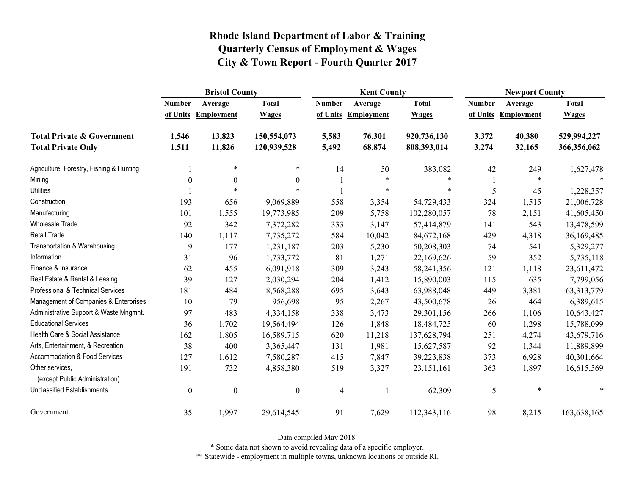|                                                   | <b>Bristol County</b> |                   |                  |               | <b>Kent County</b>  |              | <b>Newport County</b> |                   |              |
|---------------------------------------------------|-----------------------|-------------------|------------------|---------------|---------------------|--------------|-----------------------|-------------------|--------------|
|                                                   | <b>Number</b>         | Average           | <b>Total</b>     | <b>Number</b> | Average             | <b>Total</b> | <b>Number</b>         | Average           | <b>Total</b> |
|                                                   | of Units              | <b>Employment</b> | <b>Wages</b>     |               | of Units Employment | <b>Wages</b> | of Units              | <b>Employment</b> | <b>Wages</b> |
| <b>Total Private &amp; Government</b>             | 1,546                 | 13,823            | 150,554,073      | 5,583         | 76,301              | 920,736,130  | 3,372                 | 40,380            | 529,994,227  |
| <b>Total Private Only</b>                         | 1,511                 | 11,826            | 120,939,528      | 5,492         | 68,874              | 808,393,014  | 3,274                 | 32,165            | 366,356,062  |
| Agriculture, Forestry, Fishing & Hunting          |                       | $\ast$            | $\ast$           | 14            | 50                  | 383,082      | 42                    | 249               | 1,627,478    |
| Mining                                            | $\theta$              | $\theta$          | $\boldsymbol{0}$ |               | $\ast$              | $\ast$       |                       | $\ast$            |              |
| <b>Utilities</b>                                  |                       | $\ast$            | $\ast$           |               | $\ast$              | $\ast$       | 5                     | 45                | 1,228,357    |
| Construction                                      | 193                   | 656               | 9,069,889        | 558           | 3,354               | 54,729,433   | 324                   | 1,515             | 21,006,728   |
| Manufacturing                                     | 101                   | 1,555             | 19,773,985       | 209           | 5,758               | 102,280,057  | 78                    | 2,151             | 41,605,450   |
| Wholesale Trade                                   | 92                    | 342               | 7,372,282        | 333           | 3,147               | 57,414,879   | 141                   | 543               | 13,478,599   |
| <b>Retail Trade</b>                               | 140                   | 1,117             | 7,735,272        | 584           | 10,042              | 84,672,168   | 429                   | 4,318             | 36,169,485   |
| Transportation & Warehousing                      | 9                     | 177               | 1,231,187        | 203           | 5,230               | 50,208,303   | 74                    | 541               | 5,329,277    |
| Information                                       | 31                    | 96                | 1,733,772        | 81            | 1,271               | 22,169,626   | 59                    | 352               | 5,735,118    |
| Finance & Insurance                               | 62                    | 455               | 6,091,918        | 309           | 3,243               | 58,241,356   | 121                   | 1,118             | 23,611,472   |
| Real Estate & Rental & Leasing                    | 39                    | 127               | 2,030,294        | 204           | 1,412               | 15,890,003   | 115                   | 635               | 7,799,056    |
| Professional & Technical Services                 | 181                   | 484               | 8,568,288        | 695           | 3,643               | 63,988,048   | 449                   | 3,381             | 63, 313, 779 |
| Management of Companies & Enterprises             | 10                    | 79                | 956,698          | 95            | 2,267               | 43,500,678   | 26                    | 464               | 6,389,615    |
| Administrative Support & Waste Mngmnt.            | 97                    | 483               | 4,334,158        | 338           | 3,473               | 29,301,156   | 266                   | 1,106             | 10,643,427   |
| <b>Educational Services</b>                       | 36                    | 1,702             | 19,564,494       | 126           | 1,848               | 18,484,725   | 60                    | 1,298             | 15,788,099   |
| Health Care & Social Assistance                   | 162                   | 1,805             | 16,589,715       | 620           | 11,218              | 137,628,794  | 251                   | 4,274             | 43,679,716   |
| Arts, Entertainment, & Recreation                 | 38                    | 400               | 3,365,447        | 131           | 1,981               | 15,627,587   | 92                    | 1,344             | 11,889,899   |
| Accommodation & Food Services                     | 127                   | 1,612             | 7,580,287        | 415           | 7,847               | 39,223,838   | 373                   | 6,928             | 40,301,664   |
| Other services,<br>(except Public Administration) | 191                   | 732               | 4,858,380        | 519           | 3,327               | 23, 151, 161 | 363                   | 1,897             | 16,615,569   |
| <b>Unclassified Establishments</b>                | $\boldsymbol{0}$      | $\boldsymbol{0}$  | $\boldsymbol{0}$ | 4             |                     | 62,309       | 5                     | $\ast$            | $\ast$       |
| Government                                        | 35                    | 1,997             | 29,614,545       | 91            | 7,629               | 112,343,116  | 98                    | 8,215             | 163,638,165  |

Data compiled May 2018.

\* Some data not shown to avoid revealing data of a specific employer.